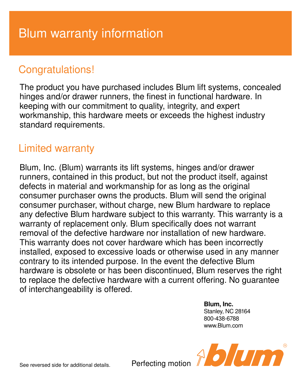# Congratulations!

The product you have purchased includes Blum lift systems, concealed hinges and/or drawer runners, the finest in functional hardware. In keeping with our commitment to quality, integrity, and expert workmanship, this hardware meets or exceeds the highest industry standard requirements.

## Limited warranty

Blum, Inc. (Blum) warrants its lift systems, hinges and/or drawer runners, contained in this product, but not the product itself, against defects in material and workmanship for as long as the original consumer purchaser owns the products. Blum will send the original consumer purchaser, without charge, new Blum hardware to replace any defective Blum hardware subject to this warranty. This warranty is a warranty of replacement only. Blum specifically does not warrant removal of the defective hardware nor installation of new hardware. This warranty does not cover hardware which has been incorrectly installed, exposed to excessive loads or otherwise used in any manner contrary to its intended purpose. In the event the defective Blum hardware is obsolete or has been discontinued, Blum reserves the right to replace the defective hardware with a current offering. No guarantee of interchangeability is offered.

> **Blum, Inc.** Stanley, NC 28164 800-438-6788 www.Blum.com



See reversed side for additional details.

Perfecting motion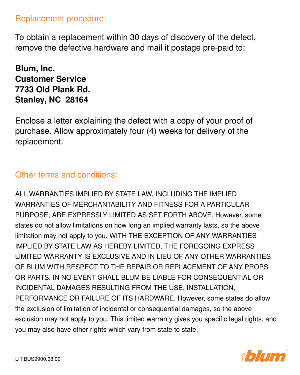#### Replacement procedure:

To obtain a replacement within 30 days of discovery of the defect, remove the defective hardware and mail it postage pre-paid to:

## **Blum, Inc. Customer Service 7733 Old Plank Rd. Stanley, NC 28164**

Enclose a letter explaining the defect with a copy of your proof of purchase. Allow approximately four (4) weeks for delivery of the replacement.

### Other terms and conditions:

ALL WARRANTIES IMPLIED BY STATE LAW, INCLUDING THE IMPLIED WARRANTIES OF MERCHANTABILITY AND FITNESS FOR A PARTICULAR PURPOSE, ARE EXPRESSLY LIMITED AS SET FORTH ABOVE. However, some states do not allow limitations on how long an implied warranty lasts, so the above limitation may not apply to you. WITH THE EXCEPTION OF ANY WARRANTIES IMPLIED BY STATE LAW AS HEREBY LIMITED, THE FOREGOING EXPRESS LIMITED WARRANTY IS EXCLUSIVE AND IN LIEU OF ANY OTHER WARRANTIES OF BLUM WITH RESPECT TO THE REPAIR OR REPLACEMENT OF ANY PROPS OR PARTS. IN NO EVENT SHALL BLUM BE LIABLE FOR CONSEQUENTIAL OR INCIDENTAL DAMAGES RESULTING FROM THE USE, INSTALLATION, PERFORMANCE OR FAILURE OF ITS HARDWARE. However, some states do allow the exclusion of limitation of incidental or consequential damages, so the above exclusion may not apply to you. This limited warranty gives you specific legal rights, and you may also have other rights which vary from state to state.